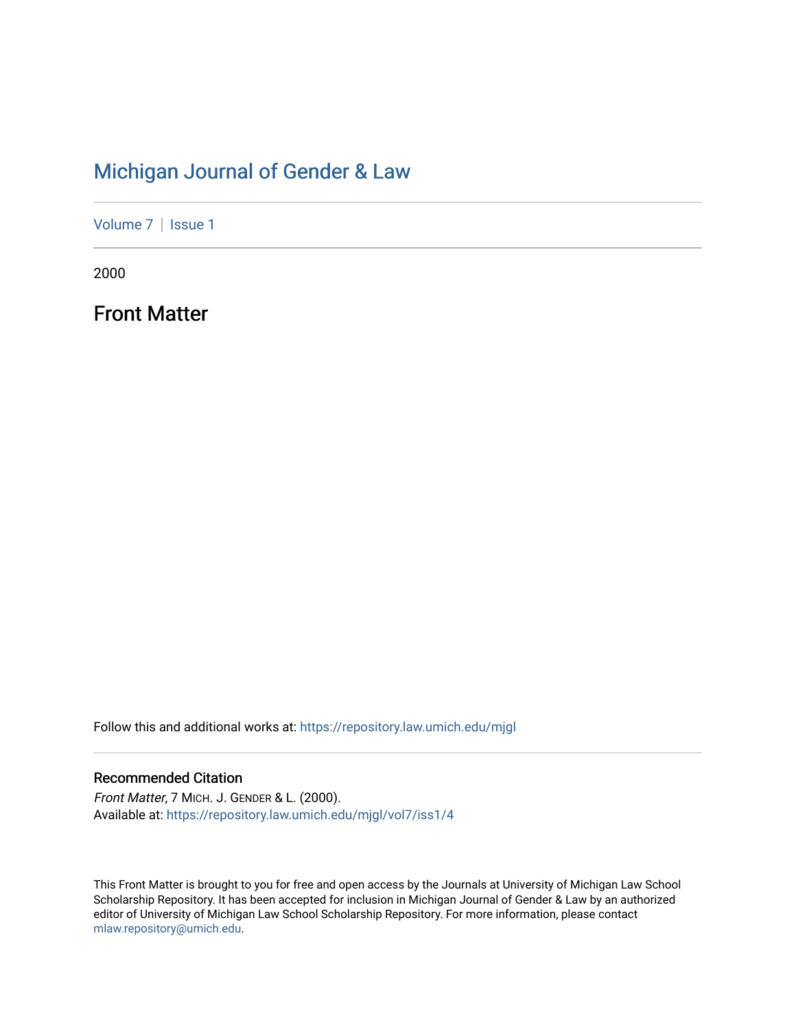## [Michigan Journal of Gender & Law](https://repository.law.umich.edu/mjgl)

[Volume 7](https://repository.law.umich.edu/mjgl/vol7) | Issue 1

2000

Front Matter

Follow this and additional works at: [https://repository.law.umich.edu/mjgl](https://repository.law.umich.edu/mjgl?utm_source=repository.law.umich.edu%2Fmjgl%2Fvol7%2Fiss1%2F4&utm_medium=PDF&utm_campaign=PDFCoverPages)

## Recommended Citation

Front Matter, 7 MICH. J. GENDER & L. (2000). Available at: [https://repository.law.umich.edu/mjgl/vol7/iss1/4](https://repository.law.umich.edu/mjgl/vol7/iss1/4?utm_source=repository.law.umich.edu%2Fmjgl%2Fvol7%2Fiss1%2F4&utm_medium=PDF&utm_campaign=PDFCoverPages)

This Front Matter is brought to you for free and open access by the Journals at University of Michigan Law School Scholarship Repository. It has been accepted for inclusion in Michigan Journal of Gender & Law by an authorized editor of University of Michigan Law School Scholarship Repository. For more information, please contact [mlaw.repository@umich.edu.](mailto:mlaw.repository@umich.edu)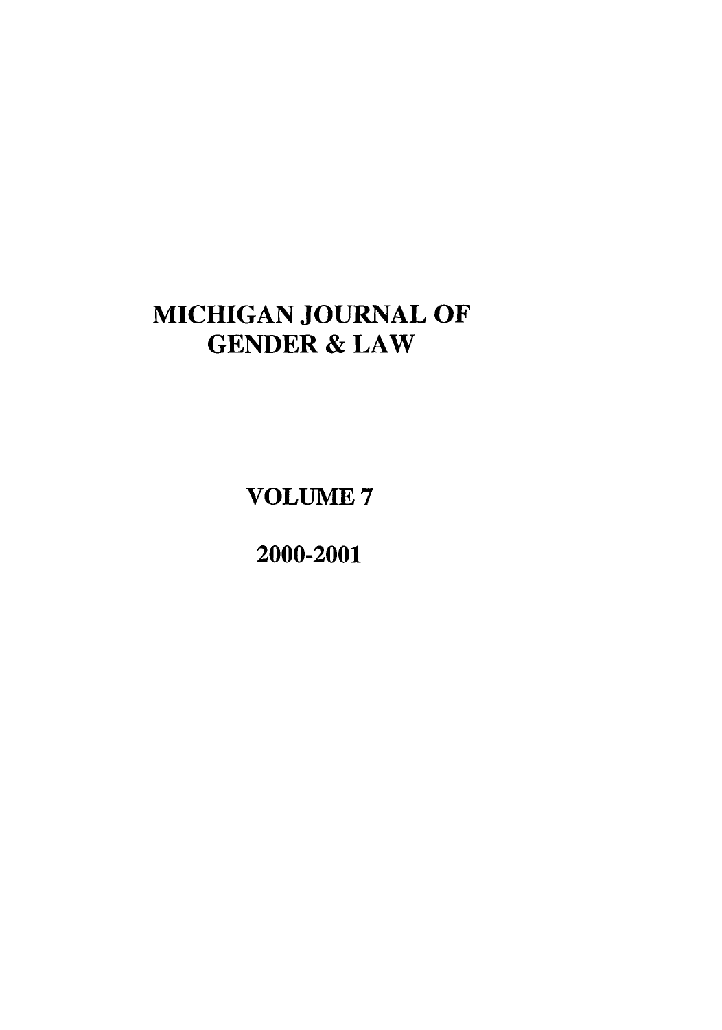# **MICHIGAN JOURNAL** OF **GENDER &** LAW

**VOLUME 7**

2000-2001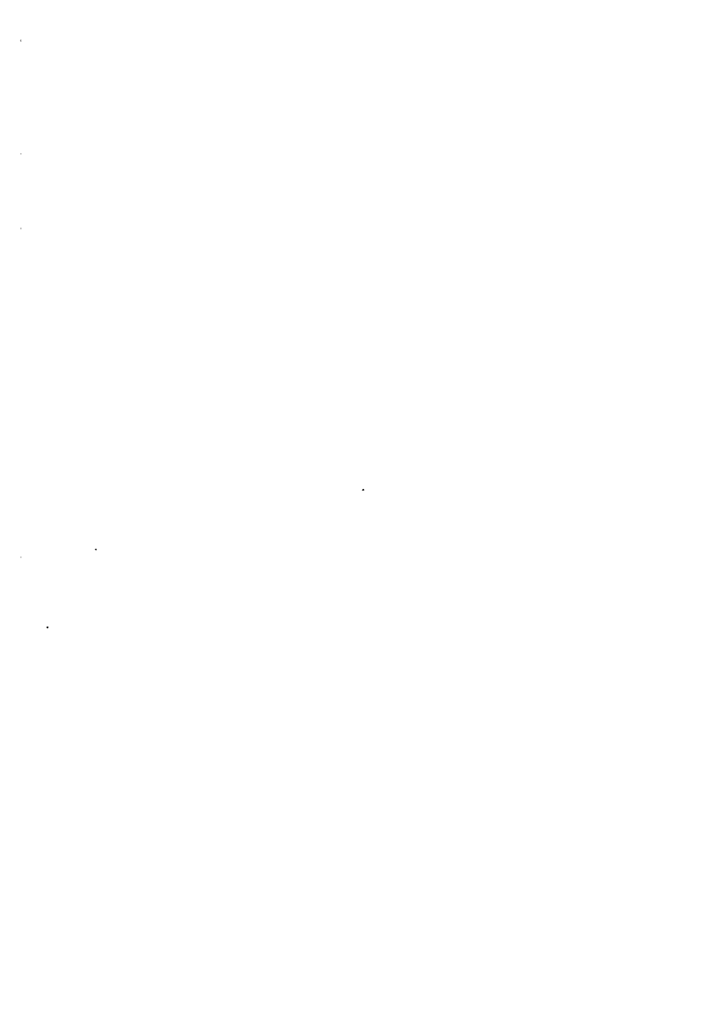$\sim 10^{-1}$  $\mathcal{L}(\mathcal{A})$  and  $\mathcal{L}(\mathcal{A})$  $\mathcal{L}(\mathcal{A})$  and  $\mathcal{L}(\mathcal{A})$  $\label{eq:2.1} \frac{1}{\sqrt{2}}\int_{\mathbb{R}^3}\frac{1}{\sqrt{2}}\left(\frac{1}{\sqrt{2}}\right)^2\frac{1}{\sqrt{2}}\left(\frac{1}{\sqrt{2}}\right)^2\frac{1}{\sqrt{2}}\left(\frac{1}{\sqrt{2}}\right)^2\frac{1}{\sqrt{2}}\left(\frac{1}{\sqrt{2}}\right)^2.$  $\label{eq:2.1} \frac{1}{\sqrt{2\pi}}\int_{\mathbb{R}^3}\frac{1}{\sqrt{2\pi}}\left(\frac{1}{\sqrt{2\pi}}\int_{\mathbb{R}^3}\frac{1}{\sqrt{2\pi}}\int_{\mathbb{R}^3}\frac{1}{\sqrt{2\pi}}\int_{\mathbb{R}^3}\frac{1}{\sqrt{2\pi}}\int_{\mathbb{R}^3}\frac{1}{\sqrt{2\pi}}\int_{\mathbb{R}^3}\frac{1}{\sqrt{2\pi}}\int_{\mathbb{R}^3}\frac{1}{\sqrt{2\pi}}\int_{\mathbb{R}^3}\frac{1}{\sqrt{2\pi}}\$  $\mathcal{L}(\mathcal{L}^{\text{max}}_{\mathcal{L}})$  and  $\mathcal{L}^{\text{max}}_{\mathcal{L}}$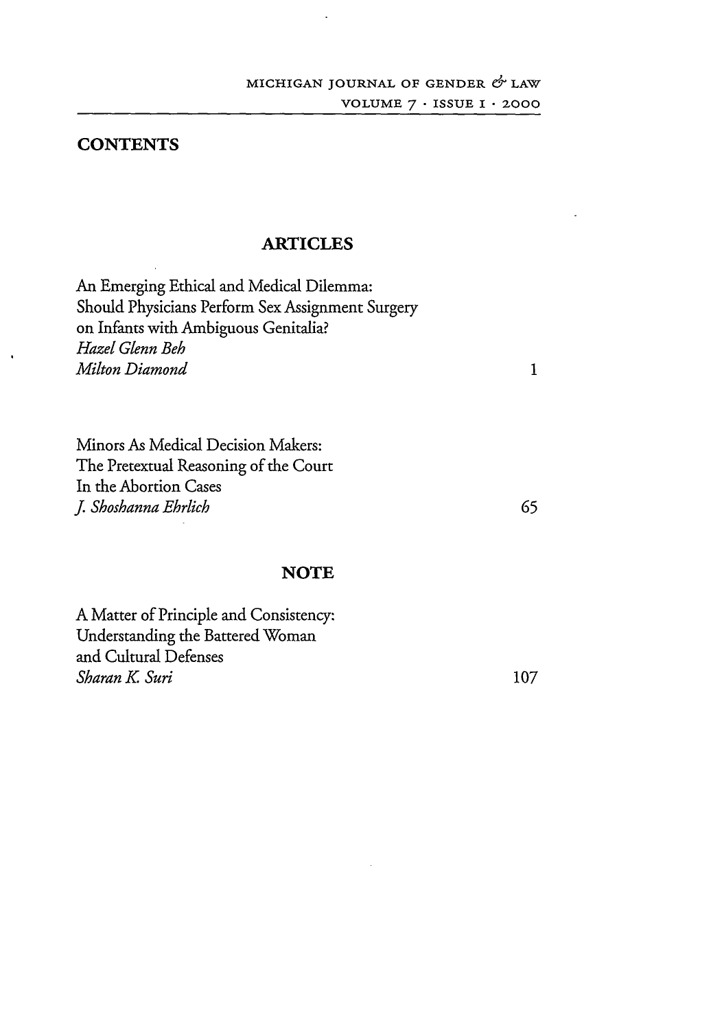### **CONTENTS**

### **ARTICLES**

An Emerging Ethical and Medical Dilemma: Should Physicians Perform Sex Assignment Surgery on Infants with Ambiguous Genitalia? *Hazel Glenn Beh Milton Diamond*

Minors As Medical Decision Makers: The Pretextual Reasoning of the Court In the Abortion Cases J. *Shoshanna Ehrlich* **65**

**NOTE**

A Matter of Principle and Consistency: Understanding the Battered Woman and Cultural Defenses *Sharan K Suri* 107

 $\mathbf{I}$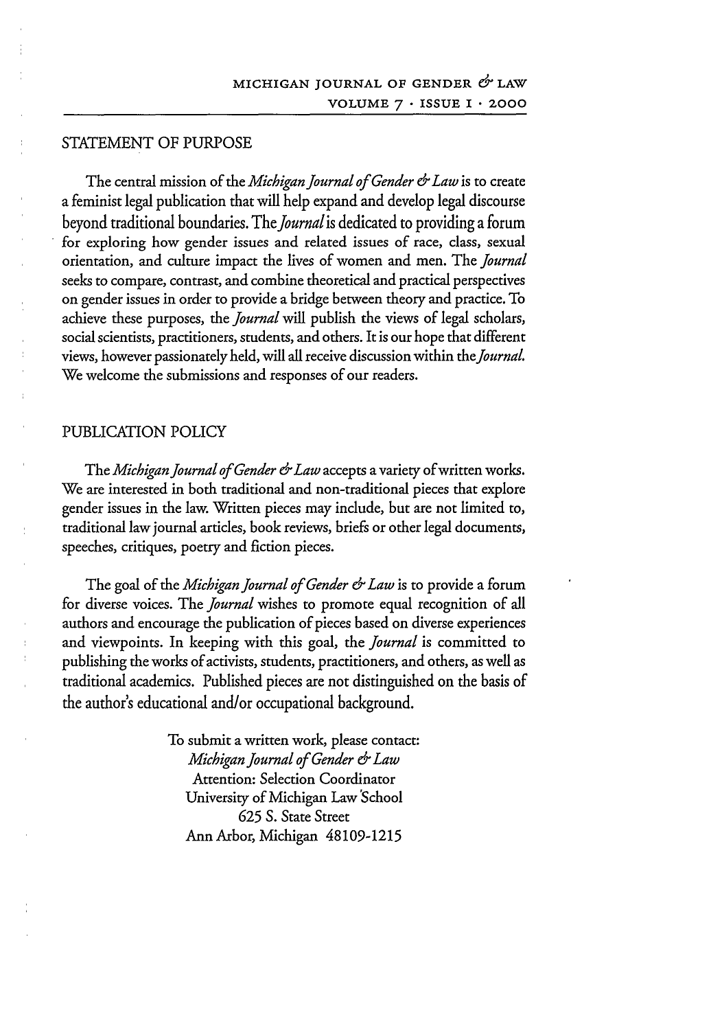#### STATEMENT OF PURPOSE

The central mission of the *Michigan Journal of Gender & Law* is to create a feminist legal publication that will help expand and develop legal discourse beyond traditional boundaries. *The Journal is* dedicated to providing a forum for exploring how gender issues and related issues of race, class, sexual orientation, and culture impact the lives of women and men. The *Journal* seeks to compare, contrast, and combine theoretical and practical perspectives on gender issues in order to provide a bridge between theory and practice. To achieve these purposes, the *Journal* will publish the views of legal scholars, social scientists, practitioners, students, and others. It is our hope that different views, however passionately held, will all receive discussion within *the Journal.* We welcome the submissions and responses of our readers.

#### PUBLICATION POLICY

The *Michigan Journal of Gender & Law* accepts a variety of written works. We are interested in both traditional and non-traditional pieces that explore gender issues in the law. Written pieces may include, but are not limited to, traditional law journal articles, book reviews, briefs or other legal documents, speeches, critiques, poetry and fiction pieces.

The goal of the *Michigan Journal of Gender & Law* is to provide a forum for diverse voices. The *Journal* wishes to promote equal recognition of all authors and encourage the publication of pieces based on diverse experiences and viewpoints. In keeping with this goal, the *Journal* is committed to publishing the works of activists, students, practitioners, and others, as well as traditional academics. Published pieces are not distinguished on the basis of the author's educational and/or occupational background.

> To submit a written work, please contact: *Michigan Journal of Gender 6- Law* Attention: Selection Coordinator University of Michigan Law School **625 S.** State Street Ann Arbor, Michigan 48109-1215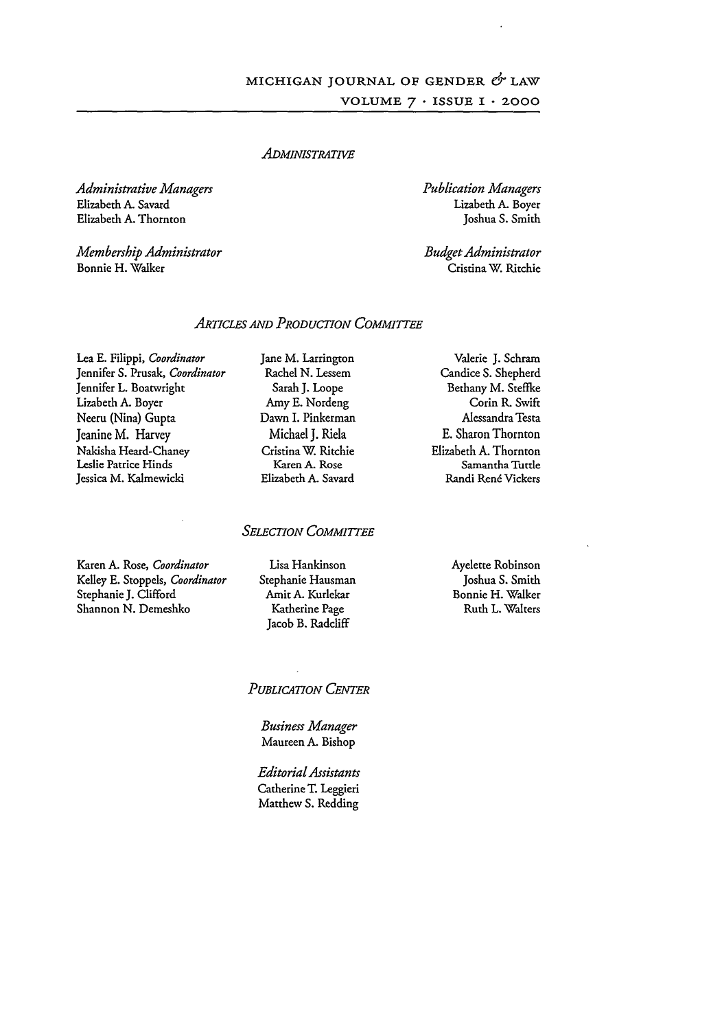#### *ADMINISTRATIVE*

*Administrative Managers* Elizabeth A. Savard Elizabeth A. Thornton

*Publication Managers* Lizabeth A. Boyer Joshua S. Smith

*Membership Administrator* Bonnie H. Walker

*Budget Administrator* Cristina W. Ritchie

#### *ARTICLES AND PRODUCTION COMMITTEE*

Lea **E.** Filippi, *Coordinator* Jennifer S. Prusak, *Coordinator* Jennifer L. Boatwright Lizabeth A. Boyer Neeru (Nina) Gupta Jeanine M. Harvey Nakisha Heard-Chaney Leslie Patrice Hinds Jessica M. Kalmewicki

Jane M. Larrington Rachel N. Lessem Sarah **J.** Loope Amy E. Nordeng Dawn I. Pinkerman Michael **J.** Riela CristinaW. Ritchie Karen A. Rose Elizabeth A. Savard

#### *SELECTION COMMITTEE*

Karen A. Rose, *Coordinator* Kelley E. Stoppels, *Coordinator* Stephanie J. Clifford Shannon N. Demeshko

Lisa Hankinson Stephanie Hausman Amit A. Kurlekar Katherine Page Jacob B. Radcliff

Elizabeth A. Thornton Samantha Tuttle Randi Ren6 Vickers

Valerie J. Schram Candice S. Shepherd Bethany M. Steffke Corin R. Swift Alessandra Testa E. Sharon Thornton

Ayelette Robinson Joshua S. Smith Bonnie H. Walker Ruth L. Walters

*PUBLICATION CENTER*

*Business Manager* Maureen A. Bishop

*EditorialAssistants* Catherine T. Leggieri Matthew S. Redding